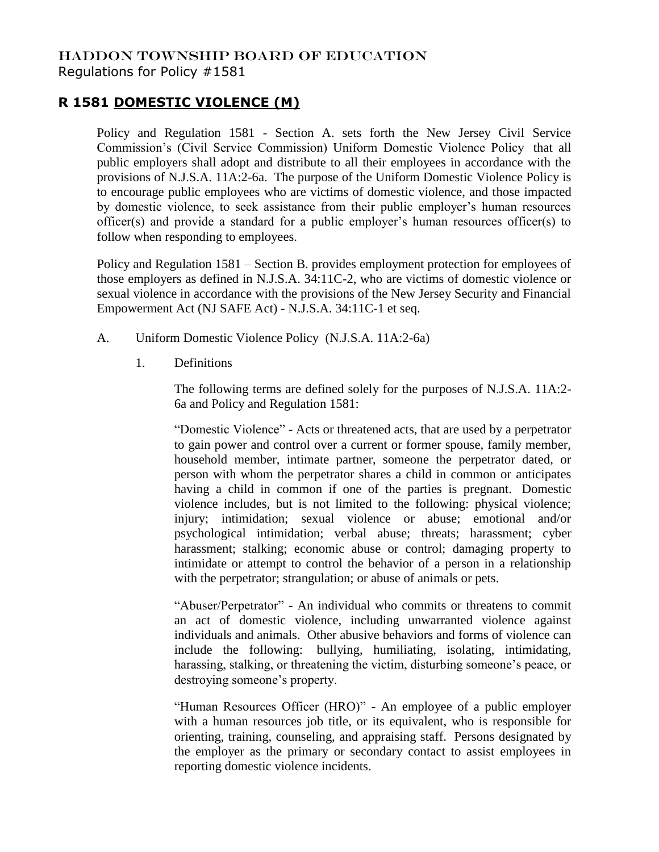## HADDON TOWNSHIP BOARD OF EDUCATION Regulations for Policy #1581

## **R 1581 DOMESTIC VIOLENCE (M)**

Policy and Regulation 1581 - Section A. sets forth the New Jersey Civil Service Commission's (Civil Service Commission) Uniform Domestic Violence Policy that all public employers shall adopt and distribute to all their employees in accordance with the provisions of N.J.S.A. 11A:2-6a. The purpose of the Uniform Domestic Violence Policy is to encourage public employees who are victims of domestic violence, and those impacted by domestic violence, to seek assistance from their public employer's human resources officer(s) and provide a standard for a public employer's human resources officer(s) to follow when responding to employees.

Policy and Regulation 1581 – Section B. provides employment protection for employees of those employers as defined in N.J.S.A. 34:11C-2, who are victims of domestic violence or sexual violence in accordance with the provisions of the New Jersey Security and Financial Empowerment Act (NJ SAFE Act) - N.J.S.A. 34:11C-1 et seq.

- A. Uniform Domestic Violence Policy (N.J.S.A. 11A:2-6a)
	- 1. Definitions

The following terms are defined solely for the purposes of N.J.S.A. 11A:2- 6a and Policy and Regulation 1581:

"Domestic Violence" - Acts or threatened acts, that are used by a perpetrator to gain power and control over a current or former spouse, family member, household member, intimate partner, someone the perpetrator dated, or person with whom the perpetrator shares a child in common or anticipates having a child in common if one of the parties is pregnant. Domestic violence includes, but is not limited to the following: physical violence; injury; intimidation; sexual violence or abuse; emotional and/or psychological intimidation; verbal abuse; threats; harassment; cyber harassment; stalking; economic abuse or control; damaging property to intimidate or attempt to control the behavior of a person in a relationship with the perpetrator; strangulation; or abuse of animals or pets.

"Abuser/Perpetrator" - An individual who commits or threatens to commit an act of domestic violence, including unwarranted violence against individuals and animals. Other abusive behaviors and forms of violence can include the following: bullying, humiliating, isolating, intimidating, harassing, stalking, or threatening the victim, disturbing someone's peace, or destroying someone's property.

"Human Resources Officer (HRO)" - An employee of a public employer with a human resources job title, or its equivalent, who is responsible for orienting, training, counseling, and appraising staff. Persons designated by the employer as the primary or secondary contact to assist employees in reporting domestic violence incidents.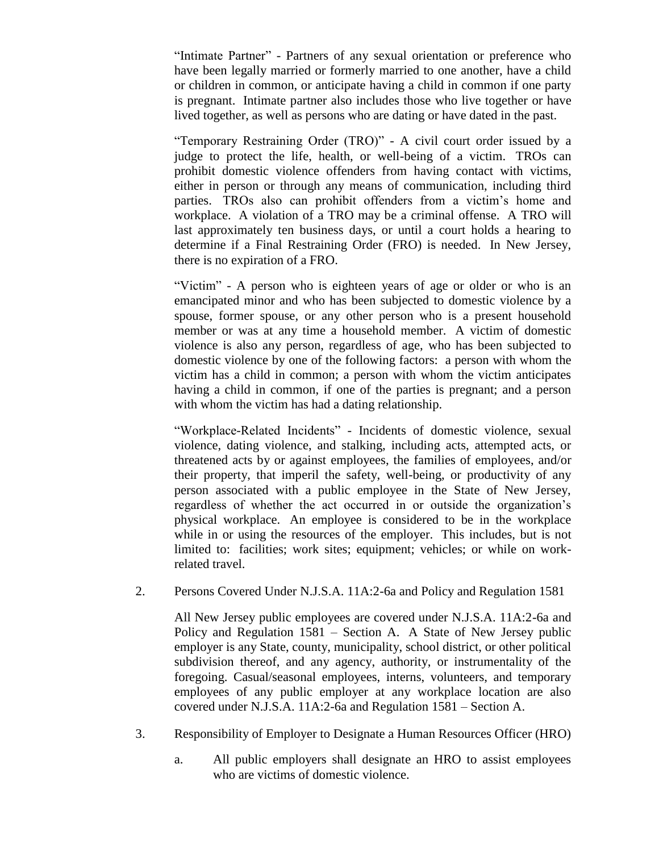"Intimate Partner" - Partners of any sexual orientation or preference who have been legally married or formerly married to one another, have a child or children in common, or anticipate having a child in common if one party is pregnant. Intimate partner also includes those who live together or have lived together, as well as persons who are dating or have dated in the past.

"Temporary Restraining Order (TRO)" - A civil court order issued by a judge to protect the life, health, or well-being of a victim. TROs can prohibit domestic violence offenders from having contact with victims, either in person or through any means of communication, including third parties. TROs also can prohibit offenders from a victim's home and workplace. A violation of a TRO may be a criminal offense. A TRO will last approximately ten business days, or until a court holds a hearing to determine if a Final Restraining Order (FRO) is needed. In New Jersey, there is no expiration of a FRO.

"Victim" - A person who is eighteen years of age or older or who is an emancipated minor and who has been subjected to domestic violence by a spouse, former spouse, or any other person who is a present household member or was at any time a household member. A victim of domestic violence is also any person, regardless of age, who has been subjected to domestic violence by one of the following factors: a person with whom the victim has a child in common; a person with whom the victim anticipates having a child in common, if one of the parties is pregnant; and a person with whom the victim has had a dating relationship.

"Workplace-Related Incidents" - Incidents of domestic violence, sexual violence, dating violence, and stalking, including acts, attempted acts, or threatened acts by or against employees, the families of employees, and/or their property, that imperil the safety, well-being, or productivity of any person associated with a public employee in the State of New Jersey, regardless of whether the act occurred in or outside the organization's physical workplace. An employee is considered to be in the workplace while in or using the resources of the employer. This includes, but is not limited to: facilities; work sites; equipment; vehicles; or while on workrelated travel.

2. Persons Covered Under N.J.S.A. 11A:2-6a and Policy and Regulation 1581

All New Jersey public employees are covered under N.J.S.A. 11A:2-6a and Policy and Regulation 1581 – Section A. A State of New Jersey public employer is any State, county, municipality, school district, or other political subdivision thereof, and any agency, authority, or instrumentality of the foregoing. Casual/seasonal employees, interns, volunteers, and temporary employees of any public employer at any workplace location are also covered under N.J.S.A. 11A:2-6a and Regulation 1581 – Section A.

- 3. Responsibility of Employer to Designate a Human Resources Officer (HRO)
	- a. All public employers shall designate an HRO to assist employees who are victims of domestic violence.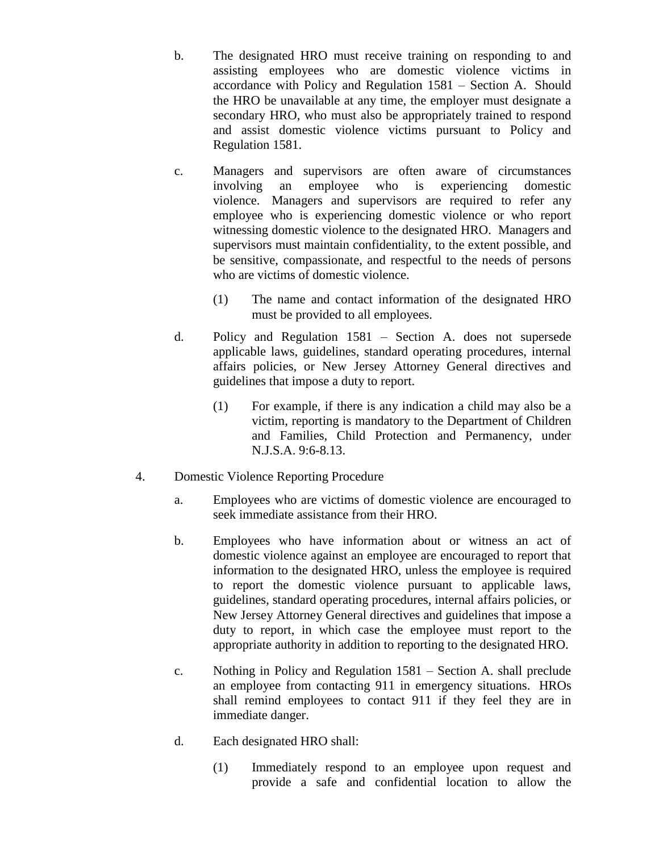- b. The designated HRO must receive training on responding to and assisting employees who are domestic violence victims in accordance with Policy and Regulation 1581 – Section A. Should the HRO be unavailable at any time, the employer must designate a secondary HRO, who must also be appropriately trained to respond and assist domestic violence victims pursuant to Policy and Regulation 1581.
- c. Managers and supervisors are often aware of circumstances involving an employee who is experiencing domestic violence. Managers and supervisors are required to refer any employee who is experiencing domestic violence or who report witnessing domestic violence to the designated HRO. Managers and supervisors must maintain confidentiality, to the extent possible, and be sensitive, compassionate, and respectful to the needs of persons who are victims of domestic violence.
	- (1) The name and contact information of the designated HRO must be provided to all employees.
- d. Policy and Regulation 1581 Section A. does not supersede applicable laws, guidelines, standard operating procedures, internal affairs policies, or New Jersey Attorney General directives and guidelines that impose a duty to report.
	- (1) For example, if there is any indication a child may also be a victim, reporting is mandatory to the Department of Children and Families, Child Protection and Permanency, under N.J.S.A. 9:6-8.13.
- 4. Domestic Violence Reporting Procedure
	- a. Employees who are victims of domestic violence are encouraged to seek immediate assistance from their HRO.
	- b. Employees who have information about or witness an act of domestic violence against an employee are encouraged to report that information to the designated HRO, unless the employee is required to report the domestic violence pursuant to applicable laws, guidelines, standard operating procedures, internal affairs policies, or New Jersey Attorney General directives and guidelines that impose a duty to report, in which case the employee must report to the appropriate authority in addition to reporting to the designated HRO.
	- c. Nothing in Policy and Regulation 1581 Section A. shall preclude an employee from contacting 911 in emergency situations. HROs shall remind employees to contact 911 if they feel they are in immediate danger.
	- d. Each designated HRO shall:
		- (1) Immediately respond to an employee upon request and provide a safe and confidential location to allow the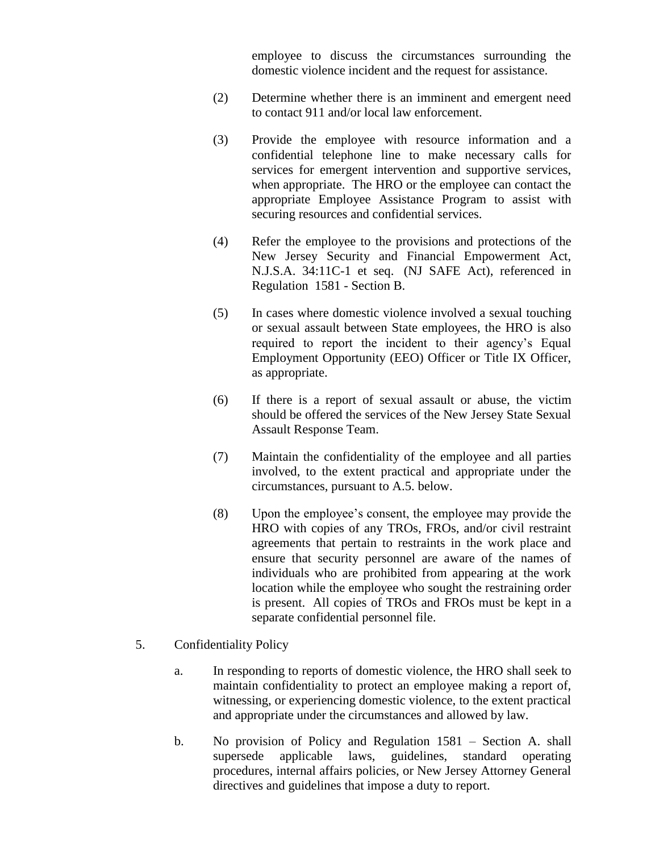employee to discuss the circumstances surrounding the domestic violence incident and the request for assistance.

- (2) Determine whether there is an imminent and emergent need to contact 911 and/or local law enforcement.
- (3) Provide the employee with resource information and a confidential telephone line to make necessary calls for services for emergent intervention and supportive services, when appropriate. The HRO or the employee can contact the appropriate Employee Assistance Program to assist with securing resources and confidential services.
- (4) Refer the employee to the provisions and protections of the New Jersey Security and Financial Empowerment Act, N.J.S.A. 34:11C-1 et seq. (NJ SAFE Act), referenced in Regulation 1581 - Section B.
- (5) In cases where domestic violence involved a sexual touching or sexual assault between State employees, the HRO is also required to report the incident to their agency's Equal Employment Opportunity (EEO) Officer or Title IX Officer, as appropriate.
- (6) If there is a report of sexual assault or abuse, the victim should be offered the services of the New Jersey State Sexual Assault Response Team.
- (7) Maintain the confidentiality of the employee and all parties involved, to the extent practical and appropriate under the circumstances, pursuant to A.5. below.
- (8) Upon the employee's consent, the employee may provide the HRO with copies of any TROs, FROs, and/or civil restraint agreements that pertain to restraints in the work place and ensure that security personnel are aware of the names of individuals who are prohibited from appearing at the work location while the employee who sought the restraining order is present. All copies of TROs and FROs must be kept in a separate confidential personnel file.
- 5. Confidentiality Policy
	- a. In responding to reports of domestic violence, the HRO shall seek to maintain confidentiality to protect an employee making a report of, witnessing, or experiencing domestic violence, to the extent practical and appropriate under the circumstances and allowed by law.
	- b. No provision of Policy and Regulation 1581 Section A. shall supersede applicable laws, guidelines, standard operating procedures, internal affairs policies, or New Jersey Attorney General directives and guidelines that impose a duty to report.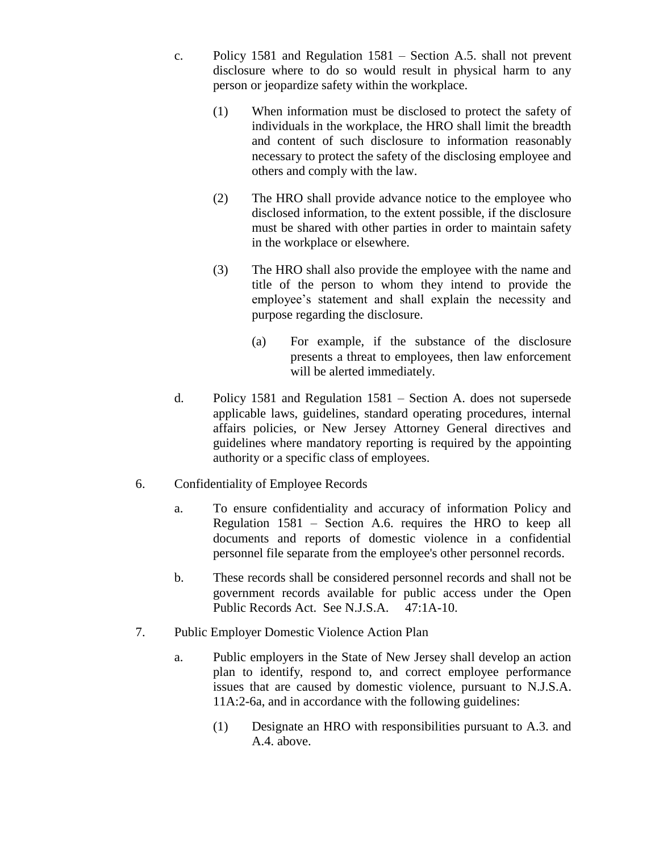- c. Policy 1581 and Regulation 1581 Section A.5. shall not prevent disclosure where to do so would result in physical harm to any person or jeopardize safety within the workplace.
	- (1) When information must be disclosed to protect the safety of individuals in the workplace, the HRO shall limit the breadth and content of such disclosure to information reasonably necessary to protect the safety of the disclosing employee and others and comply with the law.
	- (2) The HRO shall provide advance notice to the employee who disclosed information, to the extent possible, if the disclosure must be shared with other parties in order to maintain safety in the workplace or elsewhere.
	- (3) The HRO shall also provide the employee with the name and title of the person to whom they intend to provide the employee's statement and shall explain the necessity and purpose regarding the disclosure.
		- (a) For example, if the substance of the disclosure presents a threat to employees, then law enforcement will be alerted immediately.
- d. Policy 1581 and Regulation 1581 Section A. does not supersede applicable laws, guidelines, standard operating procedures, internal affairs policies, or New Jersey Attorney General directives and guidelines where mandatory reporting is required by the appointing authority or a specific class of employees.
- 6. Confidentiality of Employee Records
	- a. To ensure confidentiality and accuracy of information Policy and Regulation 1581 – Section A.6. requires the HRO to keep all documents and reports of domestic violence in a confidential personnel file separate from the employee's other personnel records.
	- b. These records shall be considered personnel records and shall not be government records available for public access under the Open Public Records Act. See N.J.S.A. 47:1A-10.
- 7. Public Employer Domestic Violence Action Plan
	- a. Public employers in the State of New Jersey shall develop an action plan to identify, respond to, and correct employee performance issues that are caused by domestic violence, pursuant to N.J.S.A. 11A:2-6a, and in accordance with the following guidelines:
		- (1) Designate an HRO with responsibilities pursuant to A.3. and A.4. above.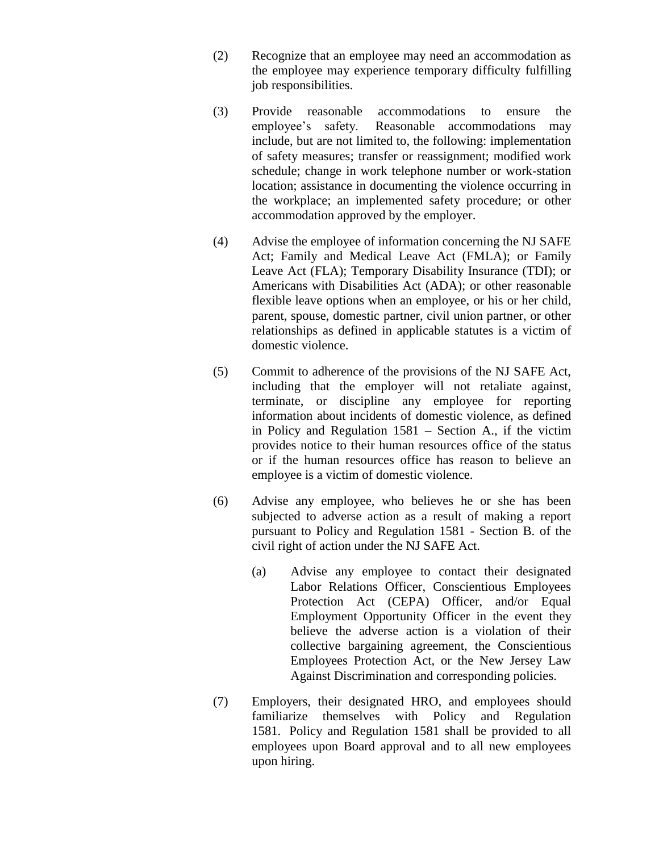- (2) Recognize that an employee may need an accommodation as the employee may experience temporary difficulty fulfilling job responsibilities.
- (3) Provide reasonable accommodations to ensure the employee's safety. Reasonable accommodations may include, but are not limited to, the following: implementation of safety measures; transfer or reassignment; modified work schedule; change in work telephone number or work-station location; assistance in documenting the violence occurring in the workplace; an implemented safety procedure; or other accommodation approved by the employer.
- (4) Advise the employee of information concerning the NJ SAFE Act; Family and Medical Leave Act (FMLA); or Family Leave Act (FLA); Temporary Disability Insurance (TDI); or Americans with Disabilities Act (ADA); or other reasonable flexible leave options when an employee, or his or her child, parent, spouse, domestic partner, civil union partner, or other relationships as defined in applicable statutes is a victim of domestic violence.
- (5) Commit to adherence of the provisions of the NJ SAFE Act, including that the employer will not retaliate against, terminate, or discipline any employee for reporting information about incidents of domestic violence, as defined in Policy and Regulation 1581 – Section A., if the victim provides notice to their human resources office of the status or if the human resources office has reason to believe an employee is a victim of domestic violence.
- (6) Advise any employee, who believes he or she has been subjected to adverse action as a result of making a report pursuant to Policy and Regulation 1581 - Section B. of the civil right of action under the NJ SAFE Act.
	- (a) Advise any employee to contact their designated Labor Relations Officer, Conscientious Employees Protection Act (CEPA) Officer, and/or Equal Employment Opportunity Officer in the event they believe the adverse action is a violation of their collective bargaining agreement, the Conscientious Employees Protection Act, or the New Jersey Law Against Discrimination and corresponding policies.
- (7) Employers, their designated HRO, and employees should familiarize themselves with Policy and Regulation 1581. Policy and Regulation 1581 shall be provided to all employees upon Board approval and to all new employees upon hiring.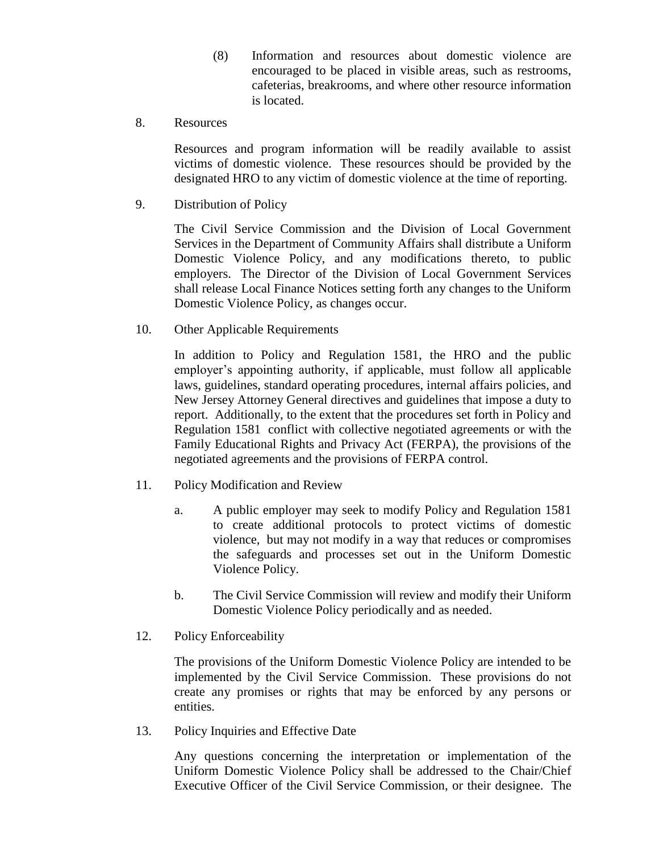- (8) Information and resources about domestic violence are encouraged to be placed in visible areas, such as restrooms, cafeterias, breakrooms, and where other resource information is located.
- 8. Resources

Resources and program information will be readily available to assist victims of domestic violence. These resources should be provided by the designated HRO to any victim of domestic violence at the time of reporting.

9. Distribution of Policy

The Civil Service Commission and the Division of Local Government Services in the Department of Community Affairs shall distribute a Uniform Domestic Violence Policy, and any modifications thereto, to public employers. The Director of the Division of Local Government Services shall release Local Finance Notices setting forth any changes to the Uniform Domestic Violence Policy, as changes occur.

10. Other Applicable Requirements

In addition to Policy and Regulation 1581, the HRO and the public employer's appointing authority, if applicable, must follow all applicable laws, guidelines, standard operating procedures, internal affairs policies, and New Jersey Attorney General directives and guidelines that impose a duty to report. Additionally, to the extent that the procedures set forth in Policy and Regulation 1581 conflict with collective negotiated agreements or with the Family Educational Rights and Privacy Act (FERPA), the provisions of the negotiated agreements and the provisions of FERPA control.

- 11. Policy Modification and Review
	- a. A public employer may seek to modify Policy and Regulation 1581 to create additional protocols to protect victims of domestic violence, but may not modify in a way that reduces or compromises the safeguards and processes set out in the Uniform Domestic Violence Policy.
	- b. The Civil Service Commission will review and modify their Uniform Domestic Violence Policy periodically and as needed.
- 12. Policy Enforceability

The provisions of the Uniform Domestic Violence Policy are intended to be implemented by the Civil Service Commission. These provisions do not create any promises or rights that may be enforced by any persons or entities.

13. Policy Inquiries and Effective Date

Any questions concerning the interpretation or implementation of the Uniform Domestic Violence Policy shall be addressed to the Chair/Chief Executive Officer of the Civil Service Commission, or their designee. The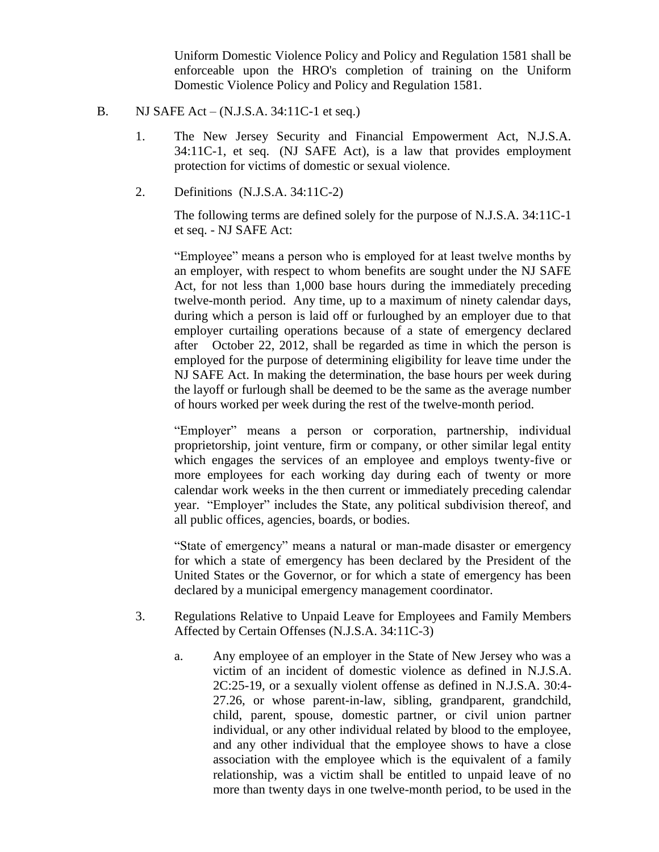Uniform Domestic Violence Policy and Policy and Regulation 1581 shall be enforceable upon the HRO's completion of training on the Uniform Domestic Violence Policy and Policy and Regulation 1581.

- B. NJ SAFE Act  $(N.J.S.A. 34:11C-1$  et seq.)
	- 1. The New Jersey Security and Financial Empowerment Act, N.J.S.A. 34:11C-1, et seq. (NJ SAFE Act), is a law that provides employment protection for victims of domestic or sexual violence.
	- 2. Definitions (N.J.S.A. 34:11C-2)

The following terms are defined solely for the purpose of N.J.S.A. 34:11C-1 et seq. - NJ SAFE Act:

"Employee" means a person who is employed for at least twelve months by an employer, with respect to whom benefits are sought under the NJ SAFE Act, for not less than 1,000 base hours during the immediately preceding twelve-month period. Any time, up to a maximum of ninety calendar days, during which a person is laid off or furloughed by an employer due to that employer curtailing operations because of a state of emergency declared after October 22, 2012, shall be regarded as time in which the person is employed for the purpose of determining eligibility for leave time under the NJ SAFE Act. In making the determination, the base hours per week during the layoff or furlough shall be deemed to be the same as the average number of hours worked per week during the rest of the twelve-month period.

"Employer" means a person or corporation, partnership, individual proprietorship, joint venture, firm or company, or other similar legal entity which engages the services of an employee and employs twenty-five or more employees for each working day during each of twenty or more calendar work weeks in the then current or immediately preceding calendar year. "Employer" includes the State, any political subdivision thereof, and all public offices, agencies, boards, or bodies.

"State of emergency" means a natural or man-made disaster or emergency for which a state of emergency has been declared by the President of the United States or the Governor, or for which a state of emergency has been declared by a municipal emergency management coordinator.

- 3. Regulations Relative to Unpaid Leave for Employees and Family Members Affected by Certain Offenses (N.J.S.A. 34:11C-3)
	- a. Any employee of an employer in the State of New Jersey who was a victim of an incident of domestic violence as defined in N.J.S.A. 2C:25-19, or a sexually violent offense as defined in N.J.S.A. 30:4- 27.26, or whose parent-in-law, sibling, grandparent, grandchild, child, parent, spouse, domestic partner, or civil union partner individual, or any other individual related by blood to the employee, and any other individual that the employee shows to have a close association with the employee which is the equivalent of a family relationship, was a victim shall be entitled to unpaid leave of no more than twenty days in one twelve-month period, to be used in the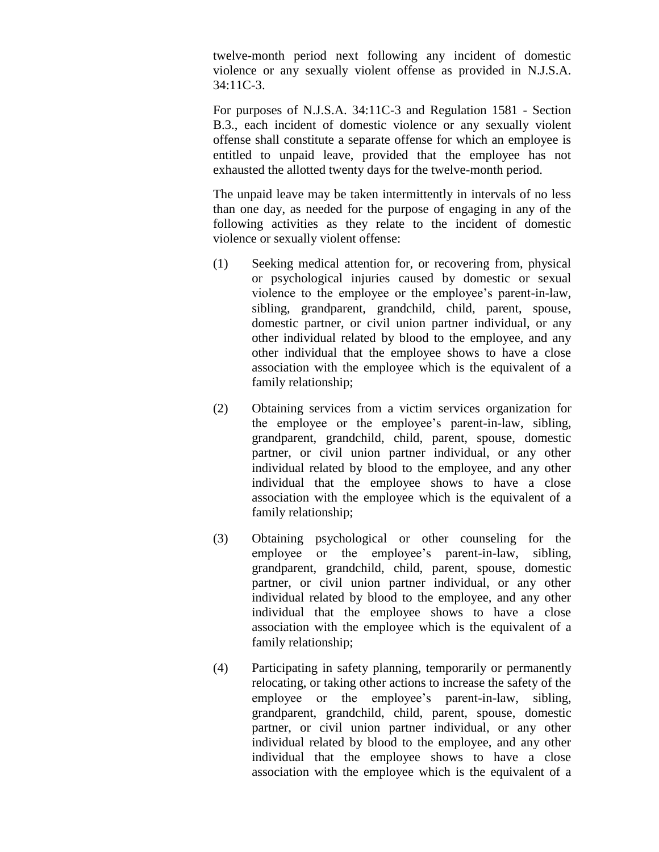twelve-month period next following any incident of domestic violence or any sexually violent offense as provided in N.J.S.A. 34:11C-3.

For purposes of N.J.S.A. 34:11C-3 and Regulation 1581 - Section B.3., each incident of domestic violence or any sexually violent offense shall constitute a separate offense for which an employee is entitled to unpaid leave, provided that the employee has not exhausted the allotted twenty days for the twelve-month period.

The unpaid leave may be taken intermittently in intervals of no less than one day, as needed for the purpose of engaging in any of the following activities as they relate to the incident of domestic violence or sexually violent offense:

- (1) Seeking medical attention for, or recovering from, physical or psychological injuries caused by domestic or sexual violence to the employee or the employee's parent-in-law, sibling, grandparent, grandchild, child, parent, spouse, domestic partner, or civil union partner individual, or any other individual related by blood to the employee, and any other individual that the employee shows to have a close association with the employee which is the equivalent of a family relationship;
- (2) Obtaining services from a victim services organization for the employee or the employee's parent-in-law, sibling, grandparent, grandchild, child, parent, spouse, domestic partner, or civil union partner individual, or any other individual related by blood to the employee, and any other individual that the employee shows to have a close association with the employee which is the equivalent of a family relationship;
- (3) Obtaining psychological or other counseling for the employee or the employee's parent-in-law, sibling, grandparent, grandchild, child, parent, spouse, domestic partner, or civil union partner individual, or any other individual related by blood to the employee, and any other individual that the employee shows to have a close association with the employee which is the equivalent of a family relationship;
- (4) Participating in safety planning, temporarily or permanently relocating, or taking other actions to increase the safety of the employee or the employee's parent-in-law, sibling, grandparent, grandchild, child, parent, spouse, domestic partner, or civil union partner individual, or any other individual related by blood to the employee, and any other individual that the employee shows to have a close association with the employee which is the equivalent of a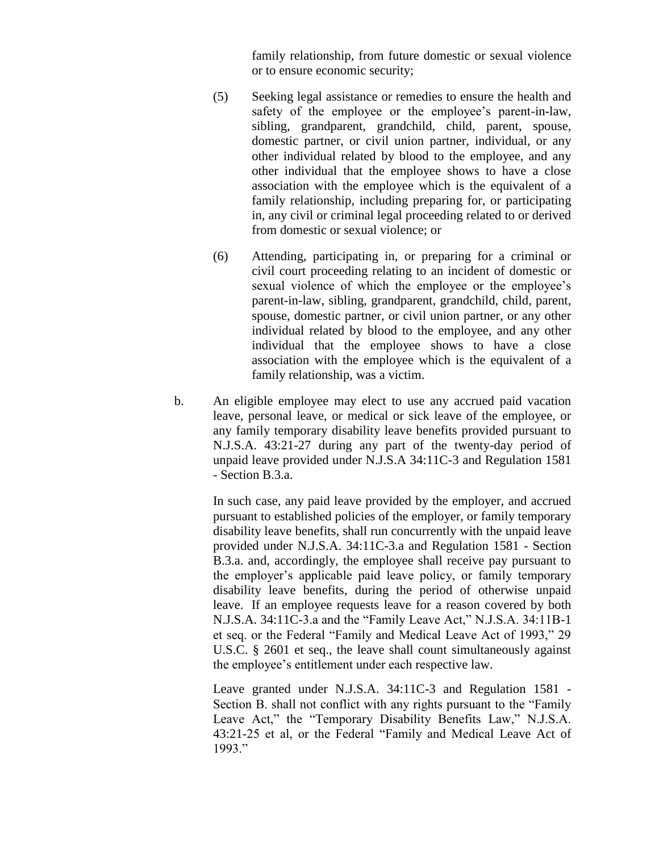family relationship, from future domestic or sexual violence or to ensure economic security;

- (5) Seeking legal assistance or remedies to ensure the health and safety of the employee or the employee's parent-in-law, sibling, grandparent, grandchild, child, parent, spouse, domestic partner, or civil union partner, individual, or any other individual related by blood to the employee, and any other individual that the employee shows to have a close association with the employee which is the equivalent of a family relationship, including preparing for, or participating in, any civil or criminal legal proceeding related to or derived from domestic or sexual violence; or
- (6) Attending, participating in, or preparing for a criminal or civil court proceeding relating to an incident of domestic or sexual violence of which the employee or the employee's parent-in-law, sibling, grandparent, grandchild, child, parent, spouse, domestic partner, or civil union partner, or any other individual related by blood to the employee, and any other individual that the employee shows to have a close association with the employee which is the equivalent of a family relationship, was a victim.
- b. An eligible employee may elect to use any accrued paid vacation leave, personal leave, or medical or sick leave of the employee, or any family temporary disability leave benefits provided pursuant to N.J.S.A. 43:21-27 during any part of the twenty-day period of unpaid leave provided under N.J.S.A 34:11C-3 and Regulation 1581 - Section B.3.a.

In such case, any paid leave provided by the employer, and accrued pursuant to established policies of the employer, or family temporary disability leave benefits, shall run concurrently with the unpaid leave provided under N.J.S.A. 34:11C-3.a and Regulation 1581 - Section B.3.a. and, accordingly, the employee shall receive pay pursuant to the employer's applicable paid leave policy, or family temporary disability leave benefits, during the period of otherwise unpaid leave. If an employee requests leave for a reason covered by both N.J.S.A. 34:11C-3.a and the "Family Leave Act," N.J.S.A. 34:11B-1 et seq. or the Federal "Family and Medical Leave Act of 1993," 29 U.S.C. § 2601 et seq., the leave shall count simultaneously against the employee's entitlement under each respective law.

Leave granted under N.J.S.A. 34:11C-3 and Regulation 1581 - Section B. shall not conflict with any rights pursuant to the "Family Leave Act," the "Temporary Disability Benefits Law," N.J.S.A. 43:21-25 et al, or the Federal "Family and Medical Leave Act of 1993."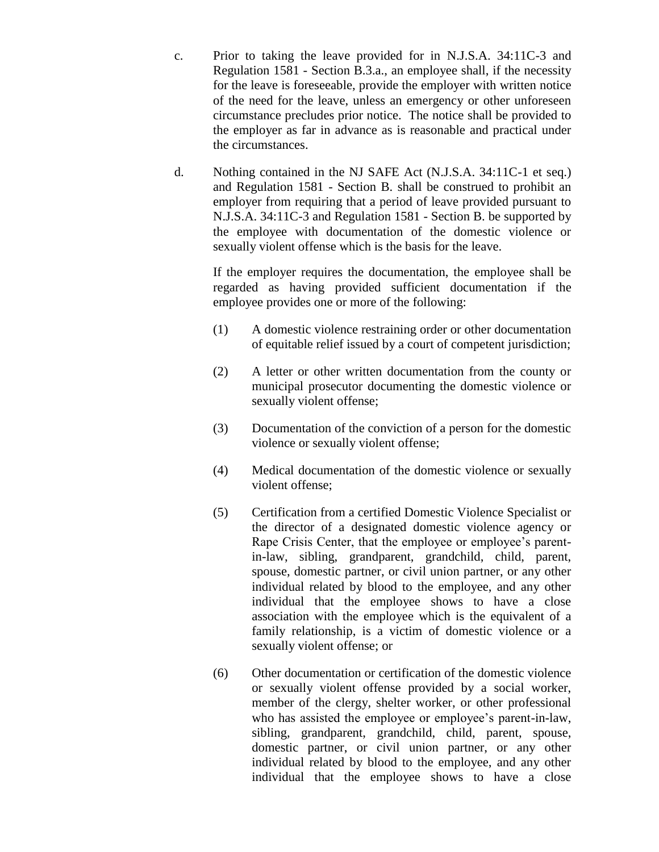- c. Prior to taking the leave provided for in N.J.S.A. 34:11C-3 and Regulation 1581 - Section B.3.a., an employee shall, if the necessity for the leave is foreseeable, provide the employer with written notice of the need for the leave, unless an emergency or other unforeseen circumstance precludes prior notice. The notice shall be provided to the employer as far in advance as is reasonable and practical under the circumstances.
- d. Nothing contained in the NJ SAFE Act (N.J.S.A. 34:11C-1 et seq.) and Regulation 1581 - Section B. shall be construed to prohibit an employer from requiring that a period of leave provided pursuant to N.J.S.A. 34:11C-3 and Regulation 1581 - Section B. be supported by the employee with documentation of the domestic violence or sexually violent offense which is the basis for the leave.

If the employer requires the documentation, the employee shall be regarded as having provided sufficient documentation if the employee provides one or more of the following:

- (1) A domestic violence restraining order or other documentation of equitable relief issued by a court of competent jurisdiction;
- (2) A letter or other written documentation from the county or municipal prosecutor documenting the domestic violence or sexually violent offense;
- (3) Documentation of the conviction of a person for the domestic violence or sexually violent offense;
- (4) Medical documentation of the domestic violence or sexually violent offense;
- (5) Certification from a certified Domestic Violence Specialist or the director of a designated domestic violence agency or Rape Crisis Center, that the employee or employee's parentin-law, sibling, grandparent, grandchild, child, parent, spouse, domestic partner, or civil union partner, or any other individual related by blood to the employee, and any other individual that the employee shows to have a close association with the employee which is the equivalent of a family relationship, is a victim of domestic violence or a sexually violent offense; or
- (6) Other documentation or certification of the domestic violence or sexually violent offense provided by a social worker, member of the clergy, shelter worker, or other professional who has assisted the employee or employee's parent-in-law, sibling, grandparent, grandchild, child, parent, spouse, domestic partner, or civil union partner, or any other individual related by blood to the employee, and any other individual that the employee shows to have a close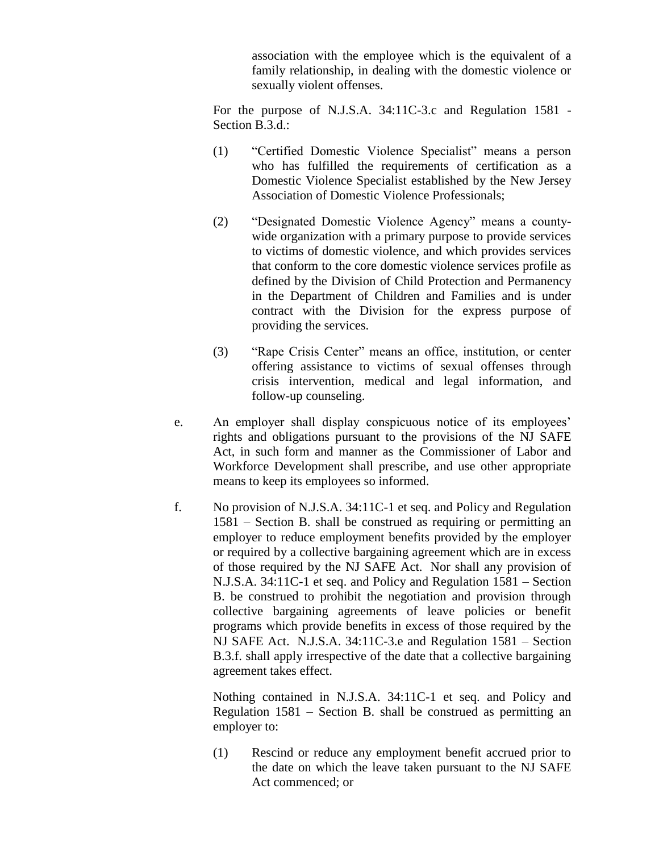association with the employee which is the equivalent of a family relationship, in dealing with the domestic violence or sexually violent offenses.

For the purpose of N.J.S.A. 34:11C-3.c and Regulation 1581 - Section B.3.d.:

- (1) "Certified Domestic Violence Specialist" means a person who has fulfilled the requirements of certification as a Domestic Violence Specialist established by the New Jersey Association of Domestic Violence Professionals;
- (2) "Designated Domestic Violence Agency" means a countywide organization with a primary purpose to provide services to victims of domestic violence, and which provides services that conform to the core domestic violence services profile as defined by the Division of Child Protection and Permanency in the Department of Children and Families and is under contract with the Division for the express purpose of providing the services.
- (3) "Rape Crisis Center" means an office, institution, or center offering assistance to victims of sexual offenses through crisis intervention, medical and legal information, and follow-up counseling.
- e. An employer shall display conspicuous notice of its employees' rights and obligations pursuant to the provisions of the NJ SAFE Act, in such form and manner as the Commissioner of Labor and Workforce Development shall prescribe, and use other appropriate means to keep its employees so informed.
- f. No provision of N.J.S.A. 34:11C-1 et seq. and Policy and Regulation 1581 – Section B. shall be construed as requiring or permitting an employer to reduce employment benefits provided by the employer or required by a collective bargaining agreement which are in excess of those required by the NJ SAFE Act. Nor shall any provision of N.J.S.A. 34:11C-1 et seq. and Policy and Regulation 1581 – Section B. be construed to prohibit the negotiation and provision through collective bargaining agreements of leave policies or benefit programs which provide benefits in excess of those required by the NJ SAFE Act. N.J.S.A. 34:11C-3.e and Regulation 1581 – Section B.3.f. shall apply irrespective of the date that a collective bargaining agreement takes effect.

Nothing contained in N.J.S.A. 34:11C-1 et seq. and Policy and Regulation 1581 – Section B. shall be construed as permitting an employer to:

(1) Rescind or reduce any employment benefit accrued prior to the date on which the leave taken pursuant to the NJ SAFE Act commenced; or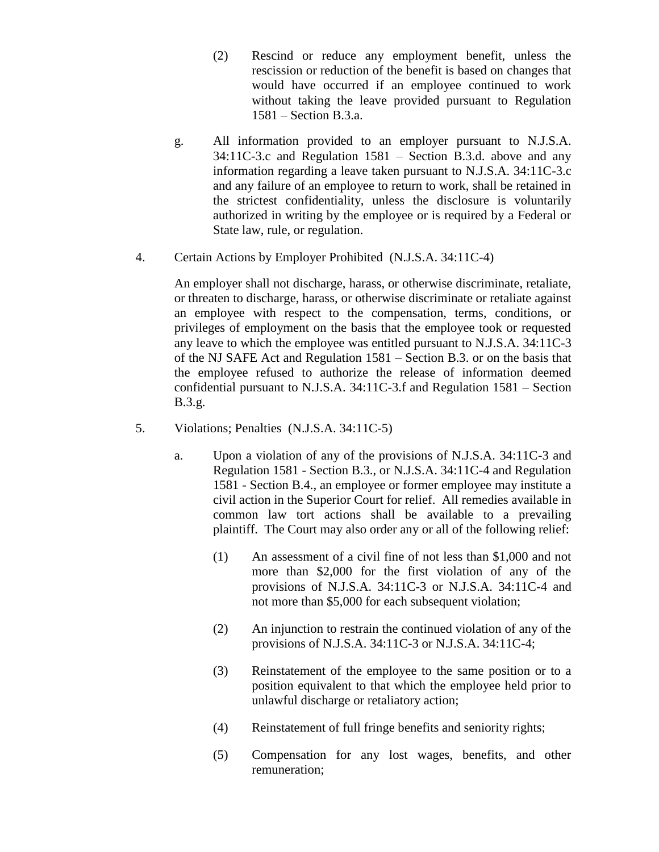- (2) Rescind or reduce any employment benefit, unless the rescission or reduction of the benefit is based on changes that would have occurred if an employee continued to work without taking the leave provided pursuant to Regulation 1581 – Section B.3.a.
- g. All information provided to an employer pursuant to N.J.S.A. 34:11C-3.c and Regulation 1581 – Section B.3.d. above and any information regarding a leave taken pursuant to N.J.S.A. 34:11C-3.c and any failure of an employee to return to work, shall be retained in the strictest confidentiality, unless the disclosure is voluntarily authorized in writing by the employee or is required by a Federal or State law, rule, or regulation.
- 4. Certain Actions by Employer Prohibited (N.J.S.A. 34:11C-4)

An employer shall not discharge, harass, or otherwise discriminate, retaliate, or threaten to discharge, harass, or otherwise discriminate or retaliate against an employee with respect to the compensation, terms, conditions, or privileges of employment on the basis that the employee took or requested any leave to which the employee was entitled pursuant to N.J.S.A. 34:11C-3 of the NJ SAFE Act and Regulation 1581 – Section B.3. or on the basis that the employee refused to authorize the release of information deemed confidential pursuant to N.J.S.A. 34:11C-3.f and Regulation 1581 – Section B.3.g.

- 5. Violations; Penalties (N.J.S.A. 34:11C-5)
	- a. Upon a violation of any of the provisions of N.J.S.A. 34:11C-3 and Regulation 1581 - Section B.3., or N.J.S.A. 34:11C-4 and Regulation 1581 - Section B.4., an employee or former employee may institute a civil action in the Superior Court for relief. All remedies available in common law tort actions shall be available to a prevailing plaintiff. The Court may also order any or all of the following relief:
		- (1) An assessment of a civil fine of not less than \$1,000 and not more than \$2,000 for the first violation of any of the provisions of N.J.S.A. 34:11C-3 or N.J.S.A. 34:11C-4 and not more than \$5,000 for each subsequent violation;
		- (2) An injunction to restrain the continued violation of any of the provisions of N.J.S.A. 34:11C-3 or N.J.S.A. 34:11C-4;
		- (3) Reinstatement of the employee to the same position or to a position equivalent to that which the employee held prior to unlawful discharge or retaliatory action;
		- (4) Reinstatement of full fringe benefits and seniority rights;
		- (5) Compensation for any lost wages, benefits, and other remuneration;